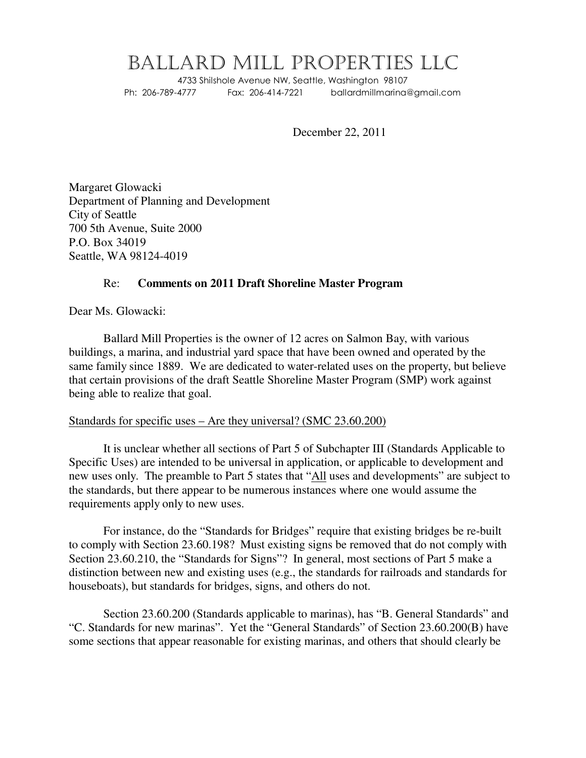# BALLARD MILL PROPERTIES LLC

4733 Shilshole Avenue NW, Seattle, Washington 98107 Ph: 206-789-4777 Fax: 206-414-7221 ballardmillmarina@gmail.com

December 22, 2011

Margaret Glowacki Department of Planning and Development City of Seattle 700 5th Avenue, Suite 2000 P.O. Box 34019 Seattle, WA 98124-4019

## Re: **Comments on 2011 Draft Shoreline Master Program**

Dear Ms. Glowacki:

Ballard Mill Properties is the owner of 12 acres on Salmon Bay, with various buildings, a marina, and industrial yard space that have been owned and operated by the same family since 1889. We are dedicated to water-related uses on the property, but believe that certain provisions of the draft Seattle Shoreline Master Program (SMP) work against being able to realize that goal.

#### Standards for specific uses – Are they universal? (SMC 23.60.200)

It is unclear whether all sections of Part 5 of Subchapter III (Standards Applicable to Specific Uses) are intended to be universal in application, or applicable to development and new uses only. The preamble to Part 5 states that "All uses and developments" are subject to the standards, but there appear to be numerous instances where one would assume the requirements apply only to new uses.

For instance, do the "Standards for Bridges" require that existing bridges be re-built to comply with Section 23.60.198? Must existing signs be removed that do not comply with Section 23.60.210, the "Standards for Signs"? In general, most sections of Part 5 make a distinction between new and existing uses (e.g., the standards for railroads and standards for houseboats), but standards for bridges, signs, and others do not.

Section 23.60.200 (Standards applicable to marinas), has "B. General Standards" and "C. Standards for new marinas". Yet the "General Standards" of Section 23.60.200(B) have some sections that appear reasonable for existing marinas, and others that should clearly be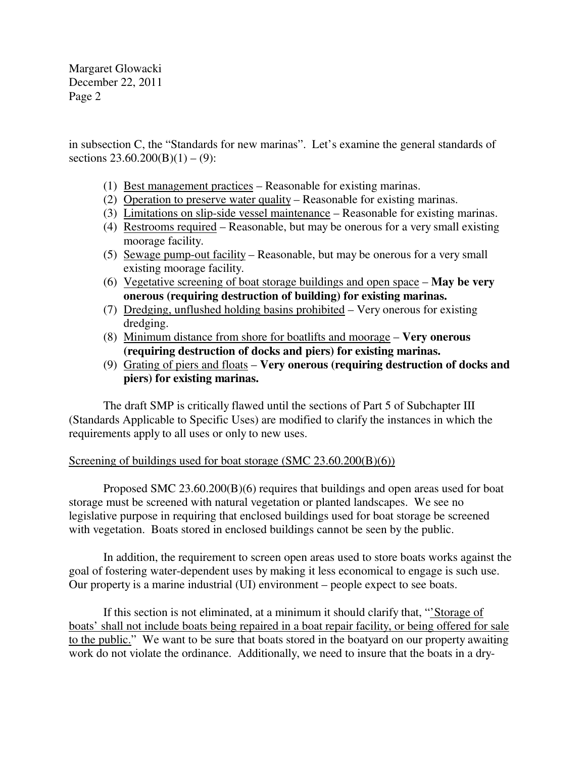Margaret Glowacki December 22, 2011 Page 2

in subsection C, the "Standards for new marinas". Let's examine the general standards of sections  $23.60.200(B)(1) - (9)$ :

- (1) Best management practices Reasonable for existing marinas.
- (2) Operation to preserve water quality Reasonable for existing marinas.
- (3) Limitations on slip-side vessel maintenance Reasonable for existing marinas.
- (4) Restrooms required Reasonable, but may be onerous for a very small existing moorage facility.
- (5) Sewage pump-out facility Reasonable, but may be onerous for a very small existing moorage facility.
- (6) Vegetative screening of boat storage buildings and open space **May be very onerous (requiring destruction of building) for existing marinas.**
- (7) Dredging, unflushed holding basins prohibited Very onerous for existing dredging.
- (8) Minimum distance from shore for boatlifts and moorage **Very onerous (requiring destruction of docks and piers) for existing marinas.**
- (9) Grating of piers and floats **Very onerous (requiring destruction of docks and piers) for existing marinas.**

The draft SMP is critically flawed until the sections of Part 5 of Subchapter III (Standards Applicable to Specific Uses) are modified to clarify the instances in which the requirements apply to all uses or only to new uses.

# Screening of buildings used for boat storage (SMC 23.60.200(B)(6))

Proposed SMC 23.60.200(B)(6) requires that buildings and open areas used for boat storage must be screened with natural vegetation or planted landscapes. We see no legislative purpose in requiring that enclosed buildings used for boat storage be screened with vegetation. Boats stored in enclosed buildings cannot be seen by the public.

In addition, the requirement to screen open areas used to store boats works against the goal of fostering water-dependent uses by making it less economical to engage is such use. Our property is a marine industrial (UI) environment – people expect to see boats.

If this section is not eliminated, at a minimum it should clarify that, "'Storage of boats' shall not include boats being repaired in a boat repair facility, or being offered for sale to the public." We want to be sure that boats stored in the boatyard on our property awaiting work do not violate the ordinance. Additionally, we need to insure that the boats in a dry